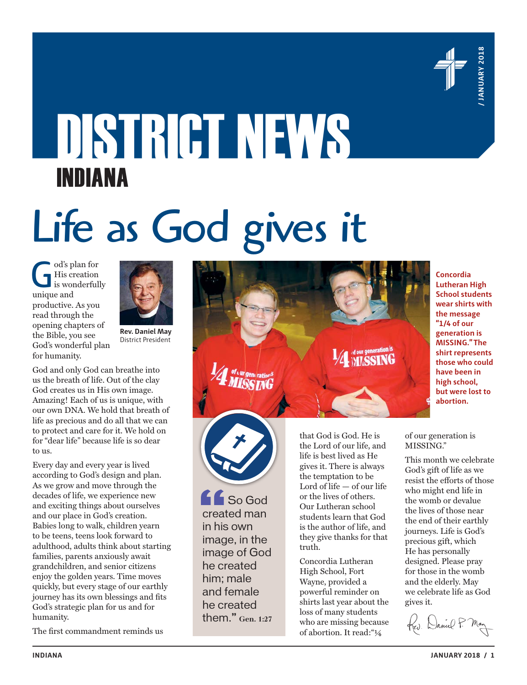

**Concordia Lutheran High School students wear shirts with the message "1/4 of our generation is** 

# DISTRICT NEWS INDIANA

# Life as God gives it

od's plan for<br>
His creation<br>
is wonderfully<br>
unique and His creation unique and productive. As you read through the opening chapters of the Bible, you see God's wonderful plan for humanity.



**Rev. Daniel May** District President

God and only God can breathe into us the breath of life. Out of the clay God creates us in His own image. Amazing! Each of us is unique, with our own DNA. We hold that breath of life as precious and do all that we can to protect and care for it. We hold on for "dear life" because life is so dear to us.

Every day and every year is lived according to God's design and plan. As we grow and move through the decades of life, we experience new and exciting things about ourselves and our place in God's creation. Babies long to walk, children yearn to be teens, teens look forward to adulthood, adults think about starting families, parents anxiously await grandchildren, and senior citizens enjoy the golden years. Time moves quickly, but every stage of our earthly journey has its own blessings and fits God's strategic plan for us and for humanity.

The first commandment reminds us

**MISSING." The shirt represents those who could have been in high school, but were lost to abortion.** 

that God is God. He is the Lord of our life, and life is best lived as He gives it. There is always the temptation to be Lord of life — of our life or the lives of others. Our Lutheran school students learn that God is the author of life, and they give thanks for that

Concordia Lutheran High School, Fort Wayne, provided a powerful reminder on shirts last year about the loss of many students who are missing because of abortion. It read:"¼

truth.

**LE** So God created man in his own image, in the image of God he created him; male and female he created them." **Gen. 1:27** of our generation is MISSING."

This month we celebrate God's gift of life as we resist the efforts of those who might end life in the womb or devalue the lives of those near the end of their earthly journeys. Life is God's precious gift, which He has personally designed. Please pray for those in the womb and the elderly. May we celebrate life as God gives it.

Ked. Daniel P. Man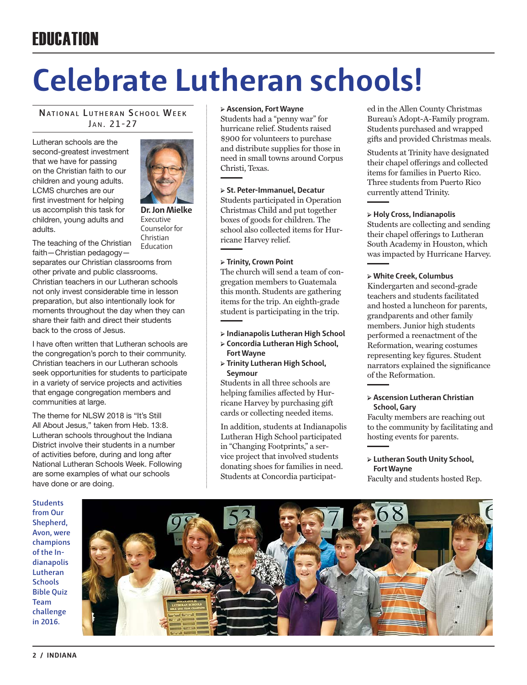### **FRIICATION**

# **Celebrate Lutheran schools!**

#### **NATIONAL LUTHERAN SCHOOL WEEK** JAN. 21-27

Lutheran schools are the second-greatest investment that we have for passing on the Christian faith to our children and young adults. LCMS churches are our first investment for helping us accomplish this task for children, young adults and adults.

**Dr. Jon Mielke** Executive Counselor for Christian Education

The teaching of the Christian faith—Christian pedagogy—

separates our Christian classrooms from other private and public classrooms. Christian teachers in our Lutheran schools not only invest considerable time in lesson preparation, but also intentionally look for moments throughout the day when they can share their faith and direct their students back to the cross of Jesus.

I have often written that Lutheran schools are the congregation's porch to their community. Christian teachers in our Lutheran schools seek opportunities for students to participate in a variety of service projects and activities that engage congregation members and communities at large.

The theme for NLSW 2018 is "It's Still All About Jesus," taken from Heb. 13:8. Lutheran schools throughout the Indiana District involve their students in a number of activities before, during and long after National Lutheran Schools Week. Following are some examples of what our schools have done or are doing.

**Students from Our Shepherd, Avon, were champions of the Indianapolis Lutheran Schools Bible Quiz Team challenge in 2016.**



#### **➢ Ascension, Fort Wayne**

Students had a "penny war" for hurricane relief. Students raised \$900 for volunteers to purchase and distribute supplies for those in need in small towns around Corpus Christi, Texas.

#### **➢ St. Peter-Immanuel, Decatur**

Students participated in Operation Christmas Child and put together boxes of goods for children. The school also collected items for Hurricane Harvey relief.

#### **➢ Trinity, Crown Point**

The church will send a team of congregation members to Guatemala this month. Students are gathering items for the trip. An eighth-grade student is participating in the trip.

- **➢ Indianapolis Lutheran High School**
- **➢ Concordia Lutheran High School, Fort Wayne**
- **➢ Trinity Lutheran High School, Seymour**

Students in all three schools are helping families affected by Hurricane Harvey by purchasing gift cards or collecting needed items.

In addition, students at Indianapolis Lutheran High School participated in "Changing Footprints," a service project that involved students donating shoes for families in need. Students at Concordia participated in the Allen County Christmas Bureau's Adopt-A-Family program. Students purchased and wrapped gifts and provided Christmas meals.

Students at Trinity have designated their chapel offerings and collected items for families in Puerto Rico. Three students from Puerto Rico currently attend Trinity.

#### **➢ Holy Cross, Indianapolis**

Students are collecting and sending their chapel offerings to Lutheran South Academy in Houston, which was impacted by Hurricane Harvey.

#### **➢ White Creek, Columbus**

Kindergarten and second-grade teachers and students facilitated and hosted a luncheon for parents, grandparents and other family members. Junior high students performed a reenactment of the Reformation, wearing costumes representing key figures. Student narrators explained the significance of the Reformation.

#### **➢ Ascension Lutheran Christian School, Gary**

Faculty members are reaching out to the community by facilitating and hosting events for parents.

#### **➢ Lutheran South Unity School, Fort Wayne**

Faculty and students hosted Rep.

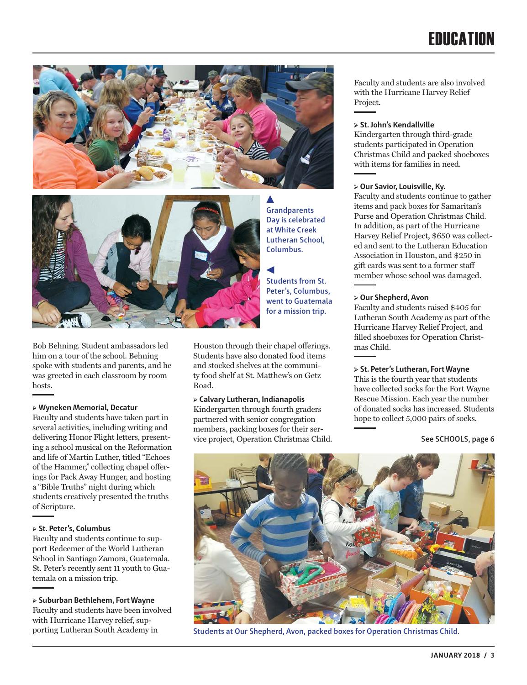### **FRIICATION**





Bob Behning. Student ambassadors led him on a tour of the school. Behning spoke with students and parents, and he was greeted in each classroom by room hosts.

#### **➢ Wyneken Memorial, Decatur**

Faculty and students have taken part in several activities, including writing and delivering Honor Flight letters, presenting a school musical on the Reformation and life of Martin Luther, titled "Echoes of the Hammer," collecting chapel offerings for Pack Away Hunger, and hosting a "Bible Truths" night during which students creatively presented the truths of Scripture.

#### **➢ St. Peter's, Columbus**

Faculty and students continue to support Redeemer of the World Lutheran School in Santiago Zamora, Guatemala. St. Peter's recently sent 11 youth to Guatemala on a mission trip.

**➢ Suburban Bethlehem, Fort Wayne** Faculty and students have been involved with Hurricane Harvey relief, supporting Lutheran South Academy in

**Grandparents Day is celebrated at White Creek Lutheran School, Columbus.**

**Students from St. Peter's, Columbus, went to Guatemala for a mission trip.**

Houston through their chapel offerings. Students have also donated food items and stocked shelves at the community food shelf at St. Matthew's on Getz Road.

#### **➢ Calvary Lutheran, Indianapolis**

Kindergarten through fourth graders partnered with senior congregation members, packing boxes for their service project, Operation Christmas Child. Faculty and students are also involved with the Hurricane Harvey Relief Project.

#### **➢ St. John's Kendallville**

Kindergarten through third-grade students participated in Operation Christmas Child and packed shoeboxes with items for families in need.

#### **➢ Our Savior, Louisville, Ky.**

Faculty and students continue to gather items and pack boxes for Samaritan's Purse and Operation Christmas Child. In addition, as part of the Hurricane Harvey Relief Project, \$650 was collected and sent to the Lutheran Education Association in Houston, and \$250 in gift cards was sent to a former staff member whose school was damaged.

#### **➢ Our Shepherd, Avon**

Faculty and students raised \$405 for Lutheran South Academy as part of the Hurricane Harvey Relief Project, and filled shoeboxes for Operation Christmas Child.

#### **➢ St. Peter's Lutheran, Fort Wayne**

This is the fourth year that students have collected socks for the Fort Wayne Rescue Mission. Each year the number of donated socks has increased. Students hope to collect 5,000 pairs of socks.

#### **See SCHOOLS, page 6**



**Students at Our Shepherd, Avon, packed boxes for Operation Christmas Child.**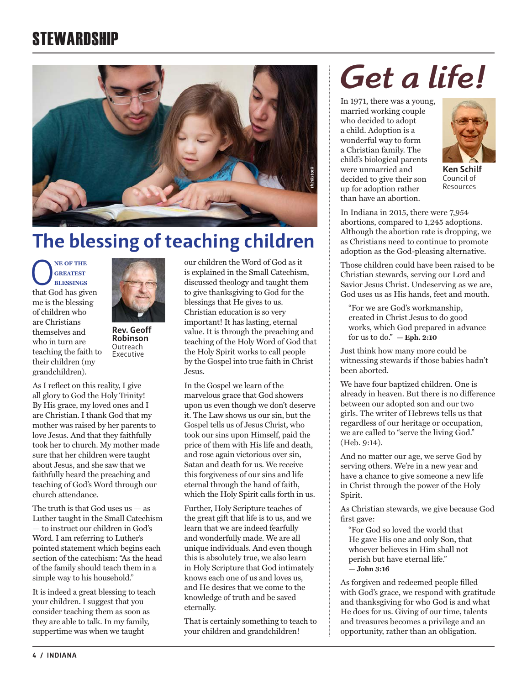### **STEWARDSHIP**



### **The blessing of teaching children**

**O**<br> **CONFIGURE BLESSINGS**<br>
that God has given **greatest blessings** me is the blessing of children who are Christians themselves and who in turn are teaching the faith to their children (my grandchildren).

**Rev. Geoff Robinson Outreach** Executive

As I reflect on this reality, I give all glory to God the Holy Trinity! By His grace, my loved ones and I are Christian. I thank God that my mother was raised by her parents to love Jesus. And that they faithfully took her to church. My mother made sure that her children were taught about Jesus, and she saw that we faithfully heard the preaching and teaching of God's Word through our church attendance.

The truth is that God uses  $us - as$ Luther taught in the Small Catechism — to instruct our children in God's Word. I am referring to Luther's pointed statement which begins each section of the catechism: "As the head of the family should teach them in a simple way to his household."

It is indeed a great blessing to teach your children. I suggest that you consider teaching them as soon as they are able to talk. In my family, suppertime was when we taught

our children the Word of God as it is explained in the Small Catechism, discussed theology and taught them to give thanksgiving to God for the blessings that He gives to us. Christian education is so very important! It has lasting, eternal value. It is through the preaching and teaching of the Holy Word of God that the Holy Spirit works to call people by the Gospel into true faith in Christ Jesus.

In the Gospel we learn of the marvelous grace that God showers upon us even though we don't deserve it. The Law shows us our sin, but the Gospel tells us of Jesus Christ, who took our sins upon Himself, paid the price of them with His life and death, and rose again victorious over sin, Satan and death for us. We receive this forgiveness of our sins and life eternal through the hand of faith, which the Holy Spirit calls forth in us.

Further, Holy Scripture teaches of the great gift that life is to us, and we learn that we are indeed fearfully and wonderfully made. We are all unique individuals. And even though this is absolutely true, we also learn in Holy Scripture that God intimately knows each one of us and loves us, and He desires that we come to the knowledge of truth and be saved eternally.

That is certainly something to teach to your children and grandchildren!

## *Get a life!*

In 1971, there was a young, married working couple who decided to adopt a child. Adoption is a wonderful way to form a Christian family. The child's biological parents were unmarried and decided to give their son up for adoption rather than have an abortion.



**Ken Schilf** Council of Resources

In Indiana in 2015, there were 7,954 abortions, compared to 1,245 adoptions. Although the abortion rate is dropping, we as Christians need to continue to promote adoption as the God-pleasing alternative.

Those children could have been raised to be Christian stewards, serving our Lord and Savior Jesus Christ. Undeserving as we are, God uses us as His hands, feet and mouth.

"For we are God's workmanship, created in Christ Jesus to do good works, which God prepared in advance for us to do." **— Eph. 2:10**

Just think how many more could be witnessing stewards if those babies hadn't been aborted.

We have four baptized children. One is already in heaven. But there is no difference between our adopted son and our two girls. The writer of Hebrews tells us that regardless of our heritage or occupation, we are called to "serve the living God." (Heb. 9:14).

And no matter our age, we serve God by serving others. We're in a new year and have a chance to give someone a new life in Christ through the power of the Holy Spirit.

As Christian stewards, we give because God first gave:

"For God so loved the world that He gave His one and only Son, that whoever believes in Him shall not perish but have eternal life." **— John 3:16**

As forgiven and redeemed people filled with God's grace, we respond with gratitude and thanksgiving for who God is and what He does for us. Giving of our time, talents and treasures becomes a privilege and an opportunity, rather than an obligation.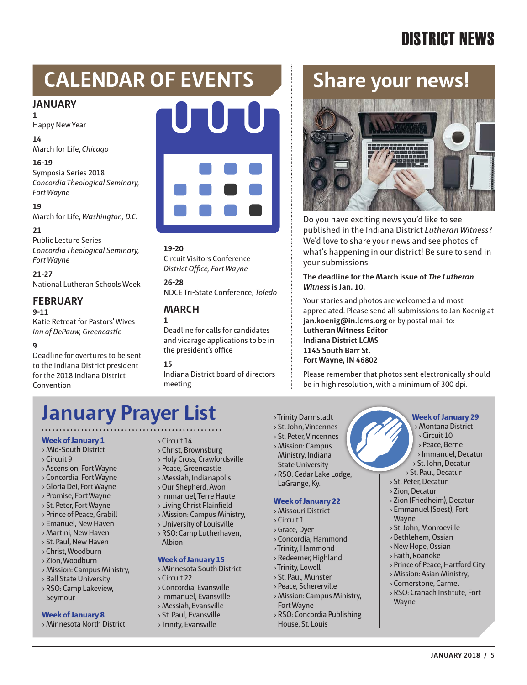### DISTRICT NEWS

### **CALENDAR OF EVENTS**

#### **JANUARY**

Happy New Year

**14**

**1**

March for Life, *Chicago*

#### **16-19**

Symposia Series 2018 *Concordia Theological Seminary, Fort Wayne*

**19**

March for Life, *Washington, D.C.*

#### **21**

Public Lecture Series *Concordia Theological Seminary, Fort Wayne*

#### **21-27**

National Lutheran Schools Week

#### **FEBRUARY**

**9-11** Katie Retreat for Pastors' Wives *Inn of DePauw, Greencastle*

#### **9**

Deadline for overtures to be sent to the Indiana District president for the 2018 Indiana District Convention



**19-20** Circuit Visitors Conference *District Office, Fort Wayne* 

**26-28** NDCE Tri-State Conference, *Toledo*

#### **MARCH**

**1** Deadline for calls for candidates and vicarage applications to be in the president's office

#### **15**

Indiana District board of directors meeting

### **Share your news!**



Do you have exciting news you'd like to see published in the Indiana District *Lutheran Witness*? We'd love to share your news and see photos of what's happening in our district! Be sure to send in your submissions.

**The deadline for the March issue of** *The Lutheran Witness* **is Jan. 10.** 

Your stories and photos are welcomed and most appreciated. Please send all submissions to Jan Koenig at **jan.koenig@in.lcms.org** or by postal mail to: **Lutheran Witness Editor Indiana District LCMS 1145 South Barr St. Fort Wayne, IN 46802**

Please remember that photos sent electronically should be in high resolution, with a minimum of 300 dpi.

### **January Prayer List**

#### **Week of January 1**

› Mid-South District

- › Circuit 9
- › Ascension, Fort Wayne
- › Concordia, Fort Wayne
- › Gloria Dei, Fort Wayne › Promise, Fort Wayne
- › St. Peter, Fort Wayne
- › Prince of Peace, Grabill
- › Emanuel, New Haven
- › Martini, New Haven
- › St. Paul, New Haven
- › Christ, Woodburn
- › Zion, Woodburn
- › Mission: Campus Ministry,
- › Ball State University
- › RSO: Camp Lakeview, Seymour

#### **Week of January 8**

› Minnesota North District

#### › Circuit 14

- › Christ, Brownsburg
- › Holy Cross, Crawfordsville
- › Peace, Greencastle
- › Messiah, Indianapolis
- › Our Shepherd, Avon
- › Immanuel, Terre Haute
- › Living Christ Plainfield
- › Mission: Campus Ministry,
- › University of Louisville
- › RSO: Camp Lutherhaven, Albion

#### **Week of January 15**

- › Minnesota South District
- › Circuit 22
- › Concordia, Evansville
- › Immanuel, Evansville
- › Messiah, Evansville
- › St. Paul, Evansville
- › Trinity, Evansville
- › Trinity Darmstadt
- › St. John, Vincennes
- › St. Peter, Vincennes
- › Mission: Campus Ministry, Indiana
- State University › RSO: Cedar Lake Lodge, LaGrange, Ky.

#### **Week of January 22**

- › Missouri District
- › Circuit 1
- › Grace, Dyer
- › Concordia, Hammond
- › Trinity, Hammond
- › Redeemer, Highland
- › Trinity, Lowell
- › St. Paul, Munster
- › Peace, Schererville
- › Mission: Campus Ministry, Fort Wayne
- › RSO: Concordia Publishing House, St. Louis

#### **Week of January 29**

- › Montana District
	- › Circuit 10
	- › Peace, Berne
	- › Immanuel, Decatur

**JANUARY 2018 / 5**

- › St. John, Decatur
- › St. Paul, Decatur
- › St. Peter, Decatur
- › Zion, Decatur
- › Zion (Friedheim), Decatur

› Prince of Peace, Hartford City › Mission: Asian Ministry, › Cornerstone, Carmel › RSO: Cranach Institute, Fort

- › Emmanuel (Soest), Fort
- Wayne
- › St. John, Monroeville
- › Bethlehem, Ossian › New Hope, Ossian › Faith, Roanoke

Wayne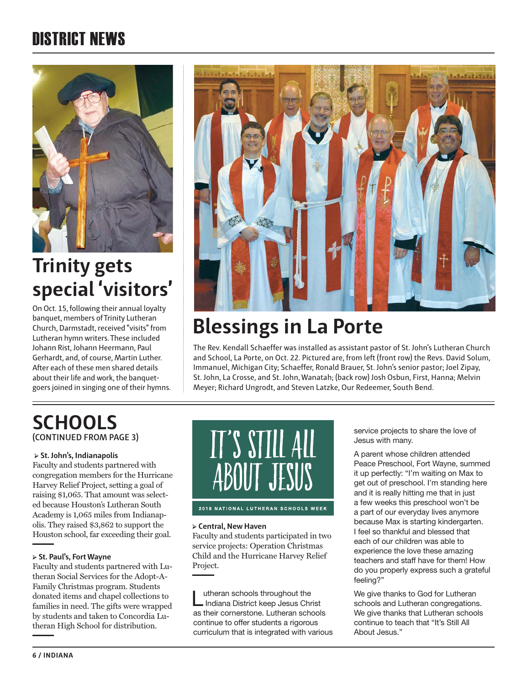### DISTRICT NEWS



### **Trinity gets special 'visitors'**

On Oct. 15, following their annual loyalty banquet, members of Trinity Lutheran Church, Darmstadt, received "visits" from Lutheran hymn writers. These included Johann Rist, Johann Heermann, Paul Gerhardt, and, of course, Martin Luther. After each of these men shared details about their life and work, the banquetgoers joined in singing one of their hymns.



### **Blessings in La Porte**

The Rev. Kendall Schaeffer was installed as assistant pastor of St. John's Lutheran Church and School, La Porte, on Oct. 22. Pictured are, from left (front row) the Revs. David Solum, Immanuel, Michigan City; Schaeffer, Ronald Brauer, St. John's senior pastor; Joel Zipay, St. John, La Crosse, and St. John, Wanatah; (back row) Josh Osbun, First, Hanna; Melvin Meyer; Richard Ungrodt, and Steven Latzke, Our Redeemer, South Bend.

#### **SCHOOLS (CONTINUED FROM PAGE 3)**

#### **➢ St. John's, Indianapolis**

Faculty and students partnered with congregation members for the Hurricane Harvey Relief Project, setting a goal of raising \$1,065. That amount was selected because Houston's Lutheran South Academy is 1,065 miles from Indianapolis. They raised \$3,862 to support the Houston school, far exceeding their goal.

#### **➢ St. Paul's, Fort Wayne**

Faculty and students partnered with Lutheran Social Services for the Adopt-A-Family Christmas program. Students donated items and chapel collections to families in need. The gifts were wrapped by students and taken to Concordia Lutheran High School for distribution.



2018 NATIONAL LUTHERAN SCHOOLS WEEK

#### **➢ Central, New Haven**

Faculty and students participated in two service projects: Operation Christmas Child and the Hurricane Harvey Relief Project.

Lutheran schools throughout the<br>
Lutheran District keep Jesus Christ as their cornerstone. Lutheran schools continue to offer students a rigorous curriculum that is integrated with various service projects to share the love of Jesus with many.

A parent whose children attended Peace Preschool, Fort Wayne, summed it up perfectly: "I'm waiting on Max to get out of preschool. I'm standing here and it is really hitting me that in just a few weeks this preschool won't be a part of our everyday lives anymore because Max is starting kindergarten. I feel so thankful and blessed that each of our children was able to experience the love these amazing teachers and staff have for them! How do you properly express such a grateful feeling?"

We give thanks to God for Lutheran schools and Lutheran congregations. We give thanks that Lutheran schools continue to teach that "It's Still All About Jesus."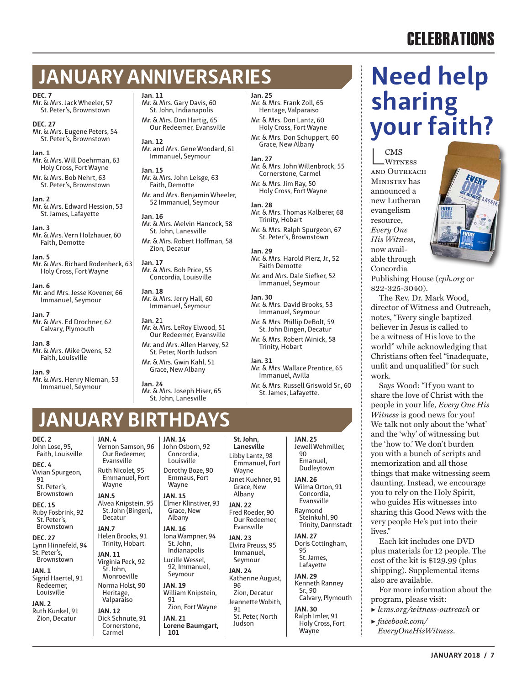### **CELEBRATIONS**

### **JANUARY ANNIVERSARIES**

**DEC. 7**

Mr. & Mrs. Jack Wheeler, 57 St. Peter's, Brownstown

**DEC. 27** Mr. & Mrs. Eugene Peters, 54 St. Peter's, Brownstown

**Jan. 1** Mr. & Mrs. Will Doehrman, 63 Holy Cross, Fort Wayne

Mr. & Mrs. Bob Nehrt, 63 St. Peter's, Brownstown

**Jan. 2** Mr. & Mrs. Edward Hession, 53 St. James, Lafayette

**Jan. 3** Mr. & Mrs. Vern Holzhauer, 60 Faith, Demotte

**Jan. 5** Mr. & Mrs. Richard Rodenbeck, 63 Holy Cross, Fort Wayne

**Jan. 6** Mr. and Mrs. Jesse Kovener, 66 Immanuel, Seymour

**Jan. 7** Mr. & Mrs. Ed Drochner, 62 Calvary, Plymouth

**Jan. 8** Mr. & Mrs. Mike Owens, 52 Faith, Louisville

**Jan. 9** Mr. & Mrs. Henry Nieman, 53 Immanuel, Seymour

**Jan. 11** Mr. & Mrs. Gary Davis, 60

St. John, Indianapolis Mr. & Mrs. Don Hartig, 65 Our Redeemer, Evansville

**Jan. 12** Mr. and Mrs. Gene Woodard, 61 Immanuel, Seymour

**Jan. 15** Mr. & Mrs. John Leisge, 63 Faith, Demotte

Mr. and Mrs. Benjamin Wheeler, 52 Immanuel, Seymour **Jan. 16**

Mr. & Mrs. Melvin Hancock, 58 St. John, Lanesville Mr. & Mrs. Robert Hoffman, 58 Zion, Decatur

**Jan. 17** Mr. & Mrs. Bob Price, 55 Concordia, Louisville

**Jan. 18** Mr. & Mrs. Jerry Hall, 60 Immanuel, Seymour

#### **Jan. 2**1 Mr. & Mrs. LeRoy Elwood, 51

Our Redeemer, Evansville Mr. and Mrs. Allen Harvey, 52 St. Peter, North Judson Mr. & Mrs. Gwin Kahl, 51

Grace, New Albany **Jan. 24** Mr. & Mrs. Joseph Hiser, 65 St. John, Lanesville

> **JAN. 14** John Osborn, 92 Concordia, Louisville Dorothy Boze, 90 Emmaus, Fort Wayne

Albany **JAN. 16** Iona Wampner, 94 St. John, Indianapolis Lucille Wessel, 92, Immanuel, Seymour **JAN. 19** William Knipstein,

91

**JAN. 21 Lorene Baumgart,** 

**101**

Zion, Fort Wayne

**Jan. 25**

Mr. & Mrs. Frank Zoll, 65 Heritage, Valparaiso Mr. & Mrs. Don Lantz, 60 Holy Cross, Fort Wayne

Mr. & Mrs. Don Schuppert, 60 Grace, New Albany

**Jan. 27**

Mr. & Mrs. John Willenbrock, 55 Cornerstone, Carmel Mr. & Mrs. Jim Ray, 50 Holy Cross, Fort Wayne

**Jan. 28**

Mr. & Mrs. Thomas Kalberer, 68 Trinity, Hobart

Mr. & Mrs. Ralph Spurgeon, 67 St. Peter's, Brownstown

**Jan. 29** Mr. & Mrs. Harold Pierz, Jr., 52 Faith Demotte

Mr. and Mrs. Dale Siefker, 52 Immanuel, Seymour

**Jan. 30** Mr. & Mrs. David Brooks, 53 Immanuel, Seymour

Mr. & Mrs. Phillip DeBolt, 59 St. John Bingen, Decatur

Mr. & Mrs. Robert Minick, 58 Trinity, Hobart

#### J**an. 31**

Mr. & Mrs. Wallace Prentice, 65 Immanuel, Avilla

Mr. & Mrs. Russell Griswold Sr., 60 St. James, Lafayette.

### **JANUARY BIRTHD**

**DEC. 2** John Lose, 95, Faith, Louisville

**DEC. 4** Vivian Spurgeon, 91 St. Peter's, Brownstown

**DEC. 15** Ruby Fosbrink, 92 St. Peter's, Brownstown

**DEC. 27** Lynn Hinnefeld, 94 St. Peter's, **Brownstown** 

**JAN. 1** Sigrid Haertel, 91 Redeemer, Louisville

**JAN. 2** Ruth Kunkel, 91 Zion, Decatur

**JAN. 4** Vernon Samson, 96 Our Redeemer, Evansville Ruth Nicolet, 95 Emmanuel, Fort Wayne

**JAN.5** Alvea Knipstein, 95 St. John (Bingen), Decatur **JAN. 15** Elmer Klinstiver, 93 Grace, New

**JAN.7** Helen Brooks, 91 Trinity, Hobart

**JAN. 11** Virginia Peck, 92 St. John, Monroeville

Norma Holst, 90 Heritage, Valparaiso

**JAN. 12** Dick Schnute, 91 Cornerstone, Carmel

**St. John, Lanesville** Libby Lantz, 98 Emmanuel, Fort Wayne Janet Kuehner, 91 Grace, New Albany

> **JAN. 22** Fred Roeder, 90 Our Redeemer, Evansville

**JAN. 23** Elvira Preuss, 95 Immanuel, Seymour

**JAN. 24** Katherine August, 96

Zion, Decatur Jeannette Wobith, 91 St. Peter, North

Judson

**JAN. 25** Jewell Wehmiller,  $9<sub>0</sub>$ Emanuel, Dudleytown **JAN. 26** Wilma Orton, 91

Concordia, Evansville Raymond Steinkuhl, 90 Trinity, Darmstadt

**JAN. 27** Doris Cottingham, 95 St. James, Lafayette

**JAN. 29** Kenneth Ranney Sr., 90 Calvary, Plymouth

**JAN. 30** Ralph Imler, 91 Holy Cross, Fort **Wayne** 

### **Need help sharing your faith?**

L CMS<br>WITNESS and Outreach Ministry has announced a new Lutheran evangelism resource, *Every One His Witness*, now available through Concordia



Publishing House (*cph.org* or 822-325-3040).

The Rev. Dr. Mark Wood, director of Witness and Outreach, notes, "Every single baptized believer in Jesus is called to be a witness of His love to the world" while acknowledging that Christians often feel "inadequate, unfit and unqualified" for such work.

Says Wood: "If you want to share the love of Christ with the people in your life, *Every One His Witness* is good news for you! We talk not only about the 'what' and the 'why' of witnessing but the 'how to.' We don't burden you with a bunch of scripts and memorization and all those things that make witnessing seem daunting. Instead, we encourage you to rely on the Holy Spirit, who guides His witnesses into sharing this Good News with the very people He's put into their lives."

Each kit includes one DVD plus materials for 12 people. The cost of the kit is \$129.99 (plus shipping). Supplemental items also are available.

For more information about the program, please visit:

▶ *lcms.org/witness-outreach* or

▶ *facebook.com/*

*EveryOneHisWitness*.